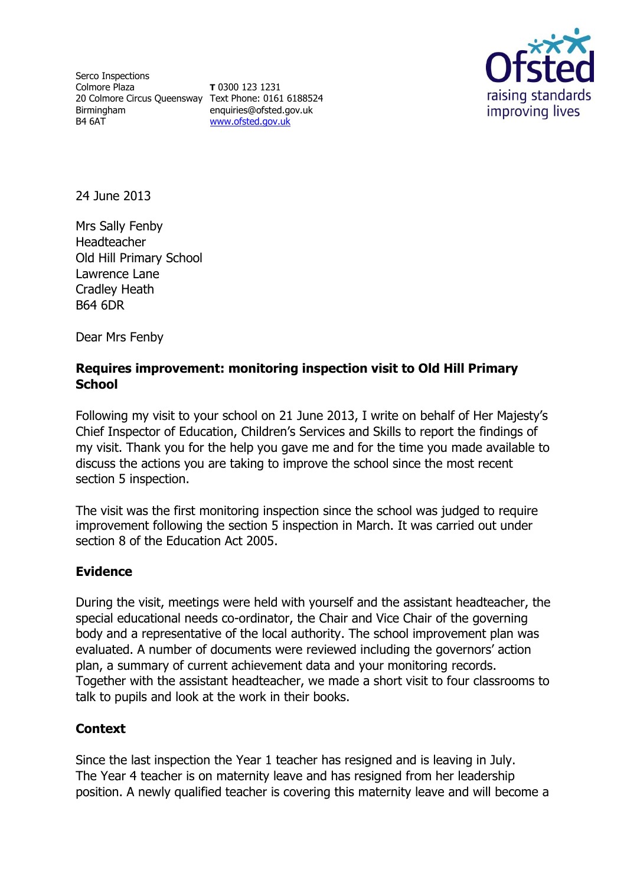Serco Inspections Colmore Plaza 20 Colmore Circus Queensway Text Phone: 0161 6188524 Birmingham B4 6AT

**T** 0300 123 1231 enquiries@ofsted.gov.uk [www.ofsted.gov.uk](http://www.ofsted.gov.uk/)



24 June 2013

Mrs Sally Fenby Headteacher Old Hill Primary School Lawrence Lane Cradley Heath B64 6DR

Dear Mrs Fenby

### **Requires improvement: monitoring inspection visit to Old Hill Primary School**

Following my visit to your school on 21 June 2013, I write on behalf of Her Majesty's Chief Inspector of Education, Children's Services and Skills to report the findings of my visit. Thank you for the help you gave me and for the time you made available to discuss the actions you are taking to improve the school since the most recent section 5 inspection.

The visit was the first monitoring inspection since the school was judged to require improvement following the section 5 inspection in March. It was carried out under section 8 of the Education Act 2005.

#### **Evidence**

During the visit, meetings were held with yourself and the assistant headteacher, the special educational needs co-ordinator, the Chair and Vice Chair of the governing body and a representative of the local authority. The school improvement plan was evaluated. A number of documents were reviewed including the governors' action plan, a summary of current achievement data and your monitoring records. Together with the assistant headteacher, we made a short visit to four classrooms to talk to pupils and look at the work in their books.

#### **Context**

Since the last inspection the Year 1 teacher has resigned and is leaving in July. The Year 4 teacher is on maternity leave and has resigned from her leadership position. A newly qualified teacher is covering this maternity leave and will become a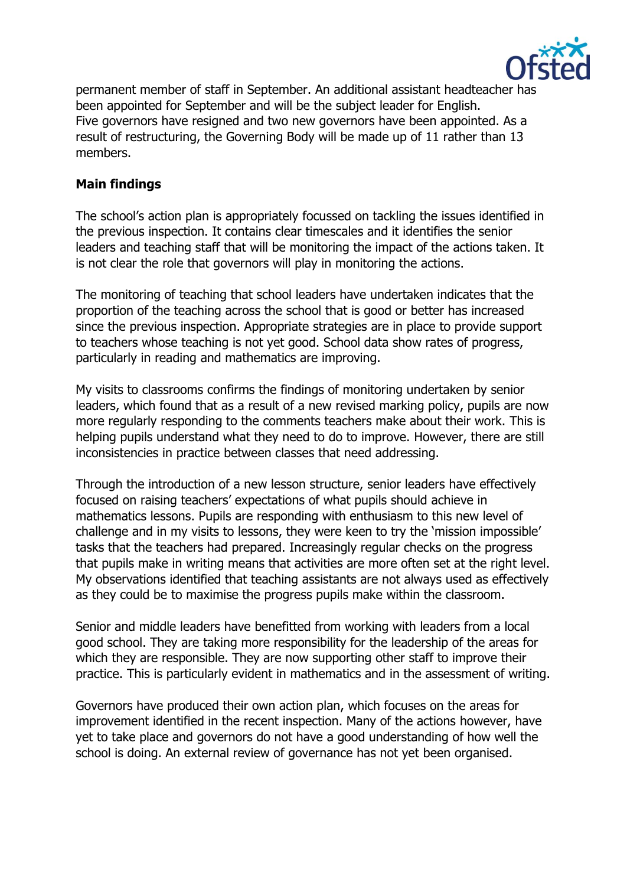

permanent member of staff in September. An additional assistant headteacher has been appointed for September and will be the subject leader for English. Five governors have resigned and two new governors have been appointed. As a result of restructuring, the Governing Body will be made up of 11 rather than 13 members.

## **Main findings**

The school's action plan is appropriately focussed on tackling the issues identified in the previous inspection. It contains clear timescales and it identifies the senior leaders and teaching staff that will be monitoring the impact of the actions taken. It is not clear the role that governors will play in monitoring the actions.

The monitoring of teaching that school leaders have undertaken indicates that the proportion of the teaching across the school that is good or better has increased since the previous inspection. Appropriate strategies are in place to provide support to teachers whose teaching is not yet good. School data show rates of progress, particularly in reading and mathematics are improving.

My visits to classrooms confirms the findings of monitoring undertaken by senior leaders, which found that as a result of a new revised marking policy, pupils are now more regularly responding to the comments teachers make about their work. This is helping pupils understand what they need to do to improve. However, there are still inconsistencies in practice between classes that need addressing.

Through the introduction of a new lesson structure, senior leaders have effectively focused on raising teachers' expectations of what pupils should achieve in mathematics lessons. Pupils are responding with enthusiasm to this new level of challenge and in my visits to lessons, they were keen to try the 'mission impossible' tasks that the teachers had prepared. Increasingly regular checks on the progress that pupils make in writing means that activities are more often set at the right level. My observations identified that teaching assistants are not always used as effectively as they could be to maximise the progress pupils make within the classroom.

Senior and middle leaders have benefitted from working with leaders from a local good school. They are taking more responsibility for the leadership of the areas for which they are responsible. They are now supporting other staff to improve their practice. This is particularly evident in mathematics and in the assessment of writing.

Governors have produced their own action plan, which focuses on the areas for improvement identified in the recent inspection. Many of the actions however, have yet to take place and governors do not have a good understanding of how well the school is doing. An external review of governance has not yet been organised.